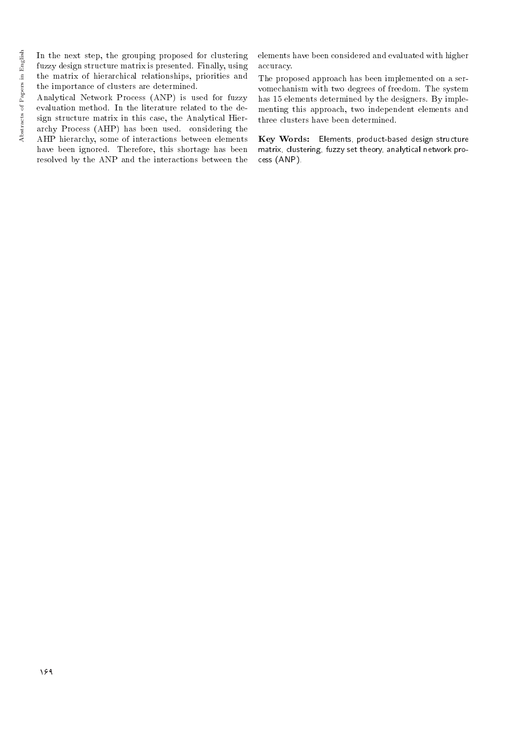In the next step, the grouping proposed for clustering fuzzy design structure matrix is presented. Finally, using the matrix of hierarchical relationships, priorities and the importance of clusters are determined.

Analytical Network Process (ANP) is used for fuzzy evaluation method. In the literature related to the design structure matrix in this case, the Analytical Hierarchy Process (AHP) has been used. considering the AHP hierarchy, some of interactions between elements have been ignored. Therefore, this shortage has been resolved by the ANP and the interactions between the elements have been considered and evaluated with higher accuracy.

The proposed approach has been implemented on a servomechanism with two degrees of freedom. The system has 15 elements determined by the designers. By implementing this approach, two independent elements and three clusters have been determined.

Key Words: Elements, product-based design structure matrix, clustering, fuzzy set theory, analytical network process (ANP).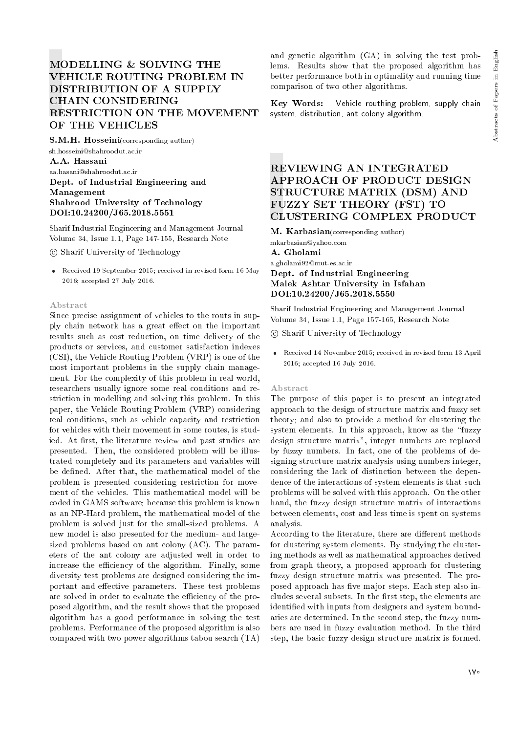# MODELLING & SOLVING THE VEHICLE ROUTING PROBLEM IN DISTRIBUTION OF A SUPPLY CHAIN CONSIDERING RESTRICTION ON THE MOVEMENT OF THE VEHICLES

S.M.H. Hosseini(corresponding author) sh.hosseini@shahroodut.ac.ir A.A. Hassani aa.hasani@shahroodut.ac.ir Dept. of Industrial Engineering and Management Shahrood University of Technology DOI:10.24200/J65.2018.5551

Sharif Industrial Engineering and Management Journal Volume 34, Issue 1.1, Page 147-155, Research Note

c Sharif University of Technology

 Received 19 September 2015; received in revised form 16 May 2016; accepted 27 July 2016.

#### Abstract

Since precise assignment of vehicles to the routs in supply chain network has a great effect on the important results such as cost reduction, on time delivery of the products or services, and customer satisfaction indexes (CSI), the Vehicle Routing Problem (VRP) is one of the most important problems in the supply chain management. For the complexity of this problem in real world, researchers usually ignore some real conditions and restriction in modelling and solving this problem. In this paper, the Vehicle Routing Problem (VRP) considering real conditions, such as vehicle capacity and restriction for vehicles with their movement in some routes, is studied. At first, the literature review and past studies are presented. Then, the considered problem will be illustrated completely and its parameters and variables will be defined. After that, the mathematical model of the problem is presented considering restriction for movement of the vehicles. This mathematical model will be coded in GAMS software; because this problem is known as an NP-Hard problem, the mathematical model of the problem is solved just for the small-sized problems. A new model is also presented for the medium- and largesized problems based on ant colony (AC). The parameters of the ant colony are adjusted well in order to increase the efficiency of the algorithm. Finally, some diversity test problems are designed considering the important and effective parameters. These test problems are solved in order to evaluate the efficiency of the proposed algorithm, and the result shows that the proposed algorithm has a good performance in solving the test problems. Performance of the proposed algorithm is also compared with two power algorithms tabou search (TA)

and genetic algorithm (GA) in solving the test problems. Results show that the proposed algorithm has better performance both in optimality and running time comparison of two other algorithms.

Key Words: Vehicle routhing problem, supply chain system, distribution, ant colony algorithm.

## REVIEWING AN INTEGRATED APPROACH OF PRODUCT DESIGN STRUCTURE MATRIX (DSM) AND FUZZY SET THEORY (FST) TO CLUSTERING COMPLEX PRODUCT

M. Karbasian(corresponding author) mkarbasian@yahoo.com A. Gholami a.gholami92@mut-es.ac.ir

## Dept. of Industrial Engineering Malek Ashtar University in Isfahan DOI:10.24200/J65.2018.5550

Sharif Industrial Engineering and Management Journal Volume 34, Issue 1.1, Page 157-165, Research Note

c Sharif University of Technology

 Received 14 November 2015; received in revised form 13 April 2016; accepted 16 July 2016.

#### Abstract

The purpose of this paper is to present an integrated approach to the design of structure matrix and fuzzy set theory; and also to provide a method for clustering the system elements. In this approach, know as the \fuzzy design structure matrix", integer numbers are replaced by fuzzy numbers. In fact, one of the problems of designing structure matrix analysis using numbers integer, considering the lack of distinction between the dependence of the interactions of system elements is that such problems will be solved with this approach. On the other hand, the fuzzy design structure matrix of interactions between elements, cost and less time is spent on systems analysis.

According to the literature, there are different methods for clustering system elements. By studying the clustering methods as well as mathematical approaches derived from graph theory, a proposed approach for clustering fuzzy design structure matrix was presented. The proposed approach has five major steps. Each step also includes several subsets. In the first step, the elements are identied with inputs from designers and system boundaries are determined. In the second step, the fuzzy numbers are used in fuzzy evaluation method. In the third step, the basic fuzzy design structure matrix is formed.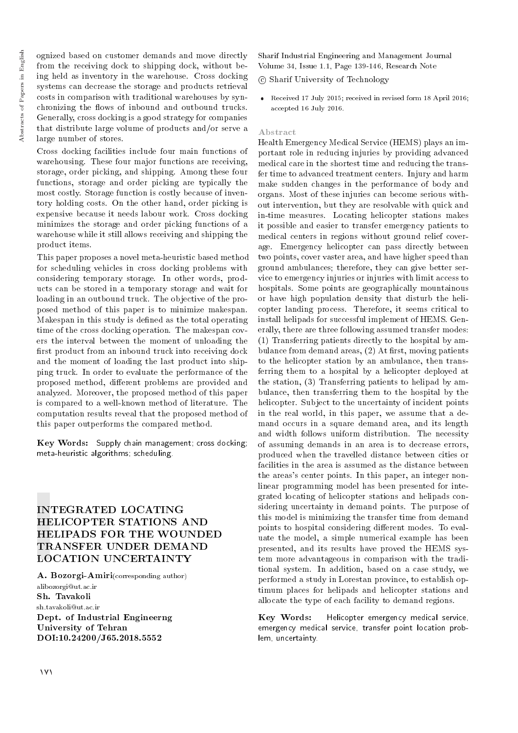ognized based on customer demands and move directly from the receiving dock to shipping dock, without being held as inventory in the warehouse. Cross docking systems can decrease the storage and products retrieval costs in comparison with traditional warehouses by synchronizing the flows of inbound and outbound trucks. Generally, cross docking is a good strategy for companies that distribute large volume of products and/or serve a large number of stores.

Cross docking facilities include four main functions of warehousing. These four major functions are receiving, storage, order picking, and shipping. Among these four functions, storage and order picking are typically the most costly. Storage function is costly because of inventory holding costs. On the other hand, order picking is expensive because it needs labour work. Cross docking minimizes the storage and order picking functions of a warehouse while it still allows receiving and shipping the product items.

This paper proposes a novel meta-heuristic based method for scheduling vehicles in cross docking problems with considering temporary storage. In other words, products can be stored in a temporary storage and wait for loading in an outbound truck. The objective of the proposed method of this paper is to minimize makespan. Makespan in this study is defined as the total operating time of the cross docking operation. The makespan covers the interval between the moment of unloading the first product from an inbound truck into receiving dock and the moment of loading the last product into shipping truck. In order to evaluate the performance of the proposed method, different problems are provided and analyzed. Moreover, the proposed method of this paper is compared to a well-known method of literature. The computation results reveal that the proposed method of this paper outperforms the compared method.

Key Words: Supply chain management; cross docking; meta-heuristic algorithms; scheduling.

# INTEGRATED LOCATING HELICOPTER STATIONS AND HELIPADS FOR THE WOUNDED TRANSFER UNDER DEMAND LOCATION UNCERTAINTY

A. Bozorgi-Amiri(corresponding author) alibozorgi@ut.ac.ir Sh. Tavakoli sh.tavakoli@ut.ac.ir Dept. of Industrial Engineerng University of Tehran DOI:10.24200/J65.2018.5552

Sharif Industrial Engineering and Management Journal Volume 34, Issue 1.1, Page 139-146, Research Note

c Sharif University of Technology

 Received 17 July 2015; received in revised form 18 April 2016; accepted 16 July 2016.

#### Abstract

Health Emergency Medical Service (HEMS) plays an important role in reducing injuries by providing advanced medical care in the shortest time and reducing the transfer time to advanced treatment centers. Injury and harm make sudden changes in the performance of body and organs. Most of these injuries can become serious without intervention, but they are resolvable with quick and in-time measures. Locating helicopter stations makes it possible and easier to transfer emergency patients to medical centers in regions without ground relief coverage. Emergency helicopter can pass directly between two points, cover vaster area, and have higher speed than ground ambulances; therefore, they can give better service to emergency injuries or injuries with limit access to hospitals. Some points are geographically mountainous or have high population density that disturb the helicopter landing process. Therefore, it seems critical to install helipads for successful implement of HEMS. Generally, there are three following assumed transfer modes: (1) Transferring patients directly to the hospital by ambulance from demand areas,  $(2)$  At first, moving patients to the helicopter station by an ambulance, then transferring them to a hospital by a helicopter deployed at the station, (3) Transferring patients to helipad by ambulance, then transferring them to the hospital by the helicopter. Subject to the uncertainty of incident points in the real world, in this paper, we assume that a demand occurs in a square demand area, and its length and width follows uniform distribution. The necessity of assuming demands in an area is to decrease errors, produced when the travelled distance between cities or facilities in the area is assumed as the distance between the areas's center points. In this paper, an integer nonlinear programming model has been presented for integrated locating of helicopter stations and helipads considering uncertainty in demand points. The purpose of this model is minimizing the transfer time from demand points to hospital considering different modes. To evaluate the model, a simple numerical example has been presented, and its results have proved the HEMS system more advantageous in comparison with the traditional system. In addition, based on a case study, we performed a study in Lorestan province, to establish optimum places for helipads and helicopter stations and allocate the type of each facility to demand regions.

Key Words: Helicopter emergency medical service, emergency medical service, transfer point location problem, uncertainty.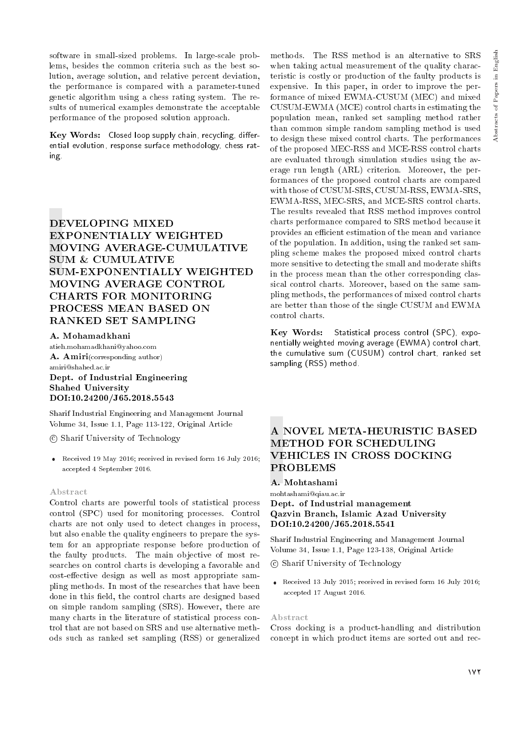software in small-sized problems. In large-scale problems, besides the common criteria such as the best solution, average solution, and relative percent deviation, the performance is compared with a parameter-tuned genetic algorithm using a chess rating system. The results of numerical examples demonstrate the acceptable performance of the proposed solution approach.

Key Words: Closed loop supply chain, recycling, differential evolution, response surface methodology, chess rating.

# DEVELOPING MIXED EXPONENTIALLY WEIGHTED MOVING AVERAGE-CUMULATIVE SUM & CUMULATIVE SUM-EXPONENTIALLY WEIGHTED MOVING AVERAGE CONTROL CHARTS FOR MONITORING PROCESS MEAN BASED ON RANKED SET SAMPLING

#### A. Mohamadkhani

atieh.mohamadkhani@yahoo.com A. Amiri(corresponding author) amiri@shahed.ac.ir Dept. of Industrial Engineering Shahed University DOI:10.24200/J65.2018.5543

Sharif Industrial Engineering and Management Journal Volume 34, Issue 1.1, Page 113-122, Original Article

c Sharif University of Technology

 Received 19 May 2016; received in revised form 16 July 2016; accepted 4 September 2016.

#### Abstract

Control charts are powerful tools of statistical process control (SPC) used for monitoring processes. Control charts are not only used to detect changes in process, but also enable the quality engineers to prepare the system for an appropriate response before production of the faulty products. The main objective of most researches on control charts is developing a favorable and cost-effective design as well as most appropriate sampling methods. In most of the researches that have been done in this field, the control charts are designed based on simple random sampling (SRS). However, there are many charts in the literature of statistical process control that are not based on SRS and use alternative methods such as ranked set sampling (RSS) or generalized

methods. The RSS method is an alternative to SRS when taking actual measurement of the quality characteristic is costly or production of the faulty products is expensive. In this paper, in order to improve the performance of mixed EWMA-CUSUM (MEC) and mixed CUSUM-EWMA (MCE) control charts in estimating the population mean, ranked set sampling method rather than common simple random sampling method is used to design these mixed control charts. The performances of the proposed MEC-RSS and MCE-RSS control charts are evaluated through simulation studies using the average run length (ARL) criterion. Moreover, the performances of the proposed control charts are compared with those of CUSUM-SRS, CUSUM-RSS, EWMA-SRS, EWMA-RSS, MEC-SRS, and MCE-SRS control charts. The results revealed that RSS method improves control charts performance compared to SRS method because it provides an efficient estimation of the mean and variance of the population. In addition, using the ranked set sampling scheme makes the proposed mixed control charts more sensitive to detecting the small and moderate shifts in the process mean than the other corresponding classical control charts. Moreover, based on the same sampling methods, the performances of mixed control charts are better than those of the single CUSUM and EWMA control charts.

Key Words: Statistical process control (SPC), exponentially weighted moving average (EWMA) control chart, the cumulative sum (CUSUM) control chart, ranked set sampling (RSS) method.

## A NOVEL META-HEURISTIC BASED METHOD FOR SCHEDULING VEHICLES IN CROSS DOCKING PROBLEMS

A. Mohtashami

## mohtashami@qiau.ac.ir Dept. of Industrial management Qazvin Branch, Islamic Azad University DOI:10.24200/J65.2018.5541

Sharif Industrial Engineering and Management Journal Volume 34, Issue 1.1, Page 123-138, Original Article

c Sharif University of Technology

 Received 13 July 2015; received in revised form 16 July 2016;accepted 17 August 2016.

#### Abstract

Cross docking is a product-handling and distribution concept in which product items are sorted out and rec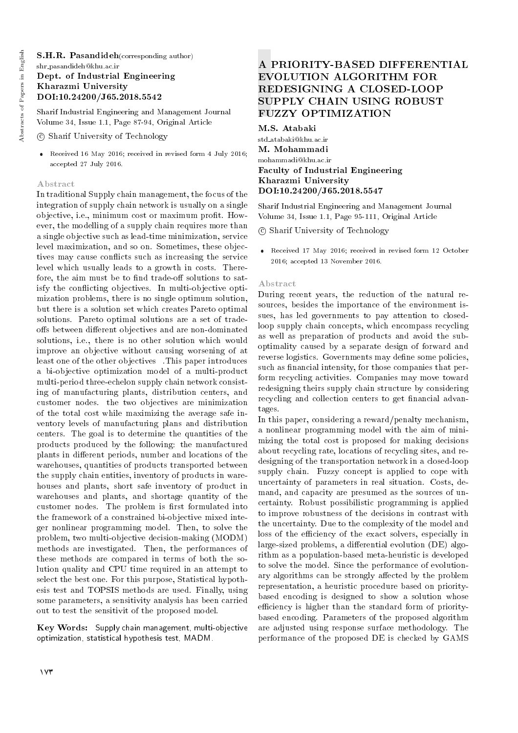S.H.R. Pasandideh(corresponding author) shr pasandideh@khu.ac.ir Dept. of Industrial Engineering Kharazmi University DOI:10.24200/J65.2018.5542

Sharif Industrial Engineering and Management Journal Volume 34, Issue 1.1, Page 87-94, Original Article

- c Sharif University of Technology
- Received 16 May 2016; received in revised form 4 July 2016; accepted 27 July 2016.

## Abstract

In traditional Supply chain management, the focus of the integration of supply chain network is usually on a single objective, i.e., minimum cost or maximum prot. However, the modelling of a supply chain requires more than a single objective such as lead-time minimization, service level maximization, and so on. Sometimes, these objectives may cause conflicts such as increasing the service level which usually leads to a growth in costs. Therefore, the aim must be to find trade-off solutions to satisfy the conflicting objectives. In multi-objective optimization problems, there is no single optimum solution, but there is a solution set which creates Pareto optimal solutions. Pareto optimal solutions are a set of tradeoffs between different objectives and are non-dominated solutions, i.e., there is no other solution which would improve an objective without causing worsening of at least one of the other objectives This paper introduces a bi-objective optimization model of a multi-product multi-period three-echelon supply chain network consisting of manufacturing plants, distribution centers, and customer nodes. the two objectives are minimization of the total cost while maximizing the average safe inventory levels of manufacturing plans and distribution centers. The goal is to determine the quantities of the products produced by the following: the manufactured plants in different periods, number and locations of the warehouses, quantities of products transported between the supply chain entities, inventory of products in warehouses and plants, short safe inventory of product in warehouses and plants, and shortage quantity of the customer nodes. The problem is first formulated into the framework of a constrained bi-objective mixed integer nonlinear programming model. Then, to solve the problem, two multi-objective decision-making (MODM) methods are investigated. Then, the performances of these methods are compared in terms of both the solution quality and CPU time required in an attempt to select the best one. For this purpose, Statistical hypothesis test and TOPSIS methods are used. Finally, using some parameters, a sensitivity analysis has been carried out to test the sensitivit of the proposed model.

Key Words: Supply chain management, multi-objective optimization, statistical hypothesis test, MADM.

# A PRIORITY-BASED DIFFERENTIAL EVOLUTION ALGORITHM FOR REDESIGNING A CLOSED-LOOP SUPPLY CHAIN USING ROBUST FUZZY OPTIMIZATION

M.S. Atabaki

std atabaki@khu.ac.ir M. Mohammadi mohammadi@khu.ac.ir Faculty of Industrial Engineering Kharazmi University DOI:10.24200/J65.2018.5547

Sharif Industrial Engineering and Management Journal Volume 34, Issue 1.1, Page 95-111, Original Article

c Sharif University of Technology

 Received 17 May 2016; received in revised form 12 October 2016; accepted 13 November 2016.

#### Abstract

During recent years, the reduction of the natural resources, besides the importance of the environment issues, has led governments to pay attention to closedloop supply chain concepts, which encompass recycling as well as preparation of products and avoid the suboptimality caused by a separate design of forward and reverse logistics. Governments may define some policies, such as financial intensity, for those companies that perform recycling activities. Companies may move toward redesigning theirs supply chain structure by considering recycling and collection centers to get financial advantages.

In this paper, considering a reward/penalty mechanism, a nonlinear programming model with the aim of minimizing the total cost is proposed for making decisions about recycling rate, locations of recycling sites, and redesigning of the transportation network in a closed-loop supply chain. Fuzzy concept is applied to cope with uncertainty of parameters in real situation. Costs, demand, and capacity are presumed as the sources of uncertainty. Robust possibilistic programming is applied to improve robustness of the decisions in contrast with the uncertainty. Due to the complexity of the model and loss of the efficiency of the exact solvers, especially in large-sized problems, a differential evolution (DE) algorithm as a population-based meta-heuristic is developed to solve the model. Since the performance of evolutionary algorithms can be strongly affected by the problem representation, a heuristic procedure based on prioritybased encoding is designed to show a solution whose efficiency is higher than the standard form of prioritybased encoding. Parameters of the proposed algorithm are adjusted using response surface methodology. The performance of the proposed DE is checked by GAMS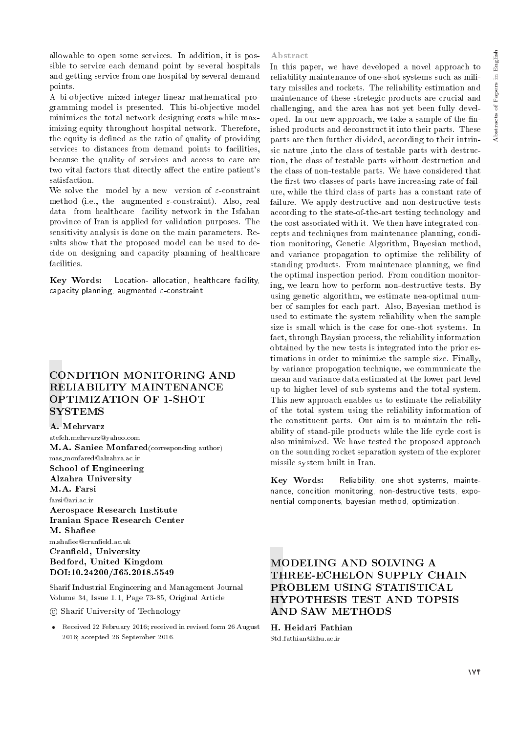allowable to open some services. In addition, it is possible to service each demand point by several hospitals and getting service from one hospital by several demand points.

A bi-objective mixed integer linear mathematical programming model is presented. This bi-objective model minimizes the total network designing costs while maximizing equity throughout hospital network. Therefore, the equity is defined as the ratio of quality of providing services to distances from demand points to facilities, because the quality of services and access to care are two vital factors that directly affect the entire patient's satisfaction.

We solve the model by a new version of  $\varepsilon$ -constraint method (i.e., the augmented  $\varepsilon$ -constraint). Also, real data from healthcare facility network in the Isfahan province of Iran is applied for validation purposes. The sensitivity analysis is done on the main parameters. Results show that the proposed model can be used to decide on designing and capacity planning of healthcare facilities.

Key Words: Location- allocation, healthcare facility, capacity planning, augmented  $\varepsilon$ -constraint.

## CONDITION MONITORING AND RELIABILITY MAINTENANCE OPTIMIZATION OF 1-SHOT **SYSTEMS**

## A. Mehrvarz

atefeh.mehrvarz@yahoo.com M.A. Saniee Monfared(corresponding author) mas monfared@alzahra.ac.ir School of Engineering Alzahra University M.A. Farsi farsi@ari.ac.ir Aerospace Research Institute Iranian Space Research Center M. Shafiee m.shafiee@cranfield.ac.uk Cranfield, University Bedford, United Kingdom DOI:10.24200/J65.2018.5549

Sharif Industrial Engineering and Management Journal Volume 34, Issue 1.1, Page 73-85, Original Article

c Sharif University of Technology

 Received 22 February 2016; received in revised form 26 August 2016; accepted 26 September 2016.

#### Abstract

In this paper, we have developed a novel approach to reliability maintenance of one-shot systems such as military missiles and rockets. The reliability estimation and maintenance of these stretegic products are crucial and challenging, and the area has not yet been fully developed. In our new approach, we take a sample of the finished products and deconstruct it into their parts. These parts are then further divided, according to their intrinsic nature ,into the class of testable parts with destruction, the class of testable parts without destruction and the class of non-testable parts. We have considered that the first two classes of parts have increasing rate of failure, while the third class of parts has a constant rate of failure. We apply destructive and non-destructive tests according to the state-of-the-art testing technology and the cost associated with it. We then have integrated concepts and techniques from maintenance planning, condition monitoring, Genetic Algorithm, Bayesian method, and variance propagation to optimize the relibility of standing products. From maintenace planning, we find the optimal inspection period. From condition monitoring, we learn how to perform non-destructive tests. By using genetic algorithm, we estimate nea-optimal number of samples for each part. Also, Bayesian method is used to estimate the system reliability when the sample size is small which is the case for one-shot systems. In fact, through Baysian process, the reliability information obtained by the new tests is integrated into the prior estimations in order to minimize the sample size. Finally, by variance propogation technique, we communicate the mean and variance data estimated at the lower part level up to higher level of sub systems and the total system. This new approach enables us to estimate the reliability of the total system using the reliability information of the constituent parts. Our aim is to maintain the reliability of stand-pile products while the life cycle cost is also minimized. We have tested the proposed approach on the sounding rocket separation system of the explorer missile system built in Iran.

Key Words: Reliability, one shot systems, maintenance, condition monitoring, non-destructive tests, exponential components, bayesian method, optimization.

# MODELING AND SOLVING A THREE-ECHELON SUPPLY CHAIN PROBLEM USING STATISTICAL HYPOTHESIS TEST AND TOPSIS AND SAW METHODS

H. Heidari Fathian Std fathian@khu.ac.ir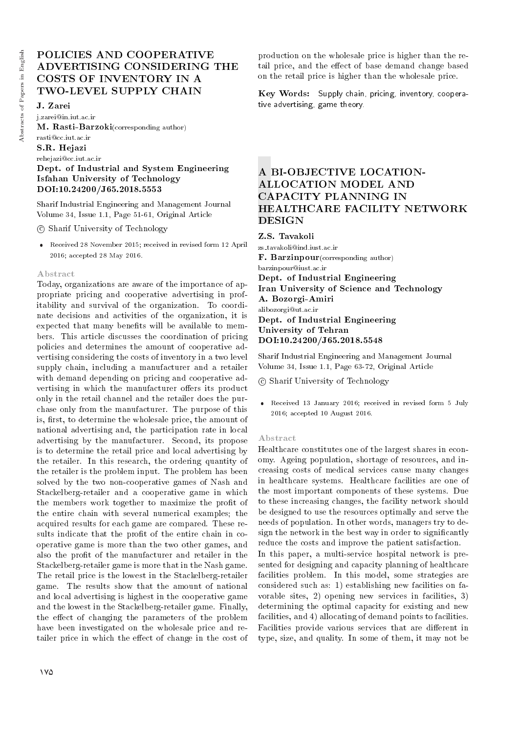# POLICIES AND COOPERATIVE ADVERTISING CONSIDERING THE COSTS OF INVENTORY IN A TWO-LEVEL SUPPLY CHAIN

J. Zarei

j.zarei@in.iut.ac.ir M. Rasti-Barzoki(corresponding author) rasti@cc.iut.ac.ir S.R. Hejazi

rehejazi@cc.iut.ac.ir

## Dept. of Industrial and System Engineering Isfahan University of Technology DOI:10.24200/J65.2018.5553

Sharif Industrial Engineering and Management Journal Volume 34, Issue 1.1, Page 51-61, Original Article

c Sharif University of Technology

 Received 28 November 2015; received in revised form 12 April 2016; accepted 28 May 2016.

#### Abstract

Today, organizations are aware of the importance of appropriate pricing and cooperative advertising in profitability and survival of the organization. To coordinate decisions and activities of the organization, it is expected that many benefits will be available to members. This article discusses the coordination of pricing policies and determines the amount of cooperative advertising considering the costs of inventory in a two level supply chain, including a manufacturer and a retailer with demand depending on pricing and cooperative advertising in which the manufacturer offers its product only in the retail channel and the retailer does the purchase only from the manufacturer. The purpose of this is, first, to determine the wholesale price, the amount of national advertising and, the participation rate in local advertising by the manufacturer. Second, its propose is to determine the retail price and local advertising by the retailer. In this research, the ordering quantity of the retailer is the problem input. The problem has been solved by the two non-cooperative games of Nash and Stackelberg-retailer and a cooperative game in which the members work together to maximize the profit of the entire chain with several numerical examples; the acquired results for each game are compared. These results indicate that the profit of the entire chain in cooperative game is more than the two other games, and also the prot of the manufacturer and retailer in the Stackelberg-retailer game is more that in the Nash game. The retail price is the lowest in the Stackelberg-retailer game. The results show that the amount of national and local advertising is highest in the cooperative game and the lowest in the Stackelberg-retailer game. Finally, the effect of changing the parameters of the problem have been investigated on the wholesale price and retailer price in which the effect of change in the cost of

Key Words: Supply chain, pricing, inventory, cooperative advertising, game theory.

# A BI-OBJECTIVE LOCATION-ALLOCATION MODEL AND CAPACITY PLANNING IN HEALTHCARE FACILITY NETWORK DESIGN

#### Z.S. Tavakoli

zs tavakoli@ind.iust.ac.ir F. Barzinpour(corresponding author) barzinpour@iust.ac.ir Dept. of Industrial Engineering Iran University of Science and Technology A. Bozorgi-Amiri alibozorgi@ut.ac.ir Dept. of Industrial Engineering University of Tehran DOI:10.24200/J65.2018.5548

Sharif Industrial Engineering and Management Journal Volume 34, Issue 1.1, Page 63-72, Original Article

c Sharif University of Technology

 Received 13 January 2016; received in revised form 5 July 2016; accepted 10 August 2016.

#### Abstract

Healthcare constitutes one of the largest shares in economy. Ageing population, shortage of resources, and increasing costs of medical services cause many changes in healthcare systems. Healthcare facilities are one of the most important components of these systems. Due to these increasing changes, the facility network should be designed to use the resources optimally and serve the needs of population. In other words, managers try to design the network in the best way in order to significantly reduce the costs and improve the patient satisfaction.

In this paper, a multi-service hospital network is presented for designing and capacity planning of healthcare facilities problem. In this model, some strategies are considered such as: 1) establishing new facilities on favorable sites, 2) opening new services in facilities, 3) determining the optimal capacity for existing and new facilities, and 4) allocating of demand points to facilities. Facilities provide various services that are different in type, size, and quality. In some of them, it may not be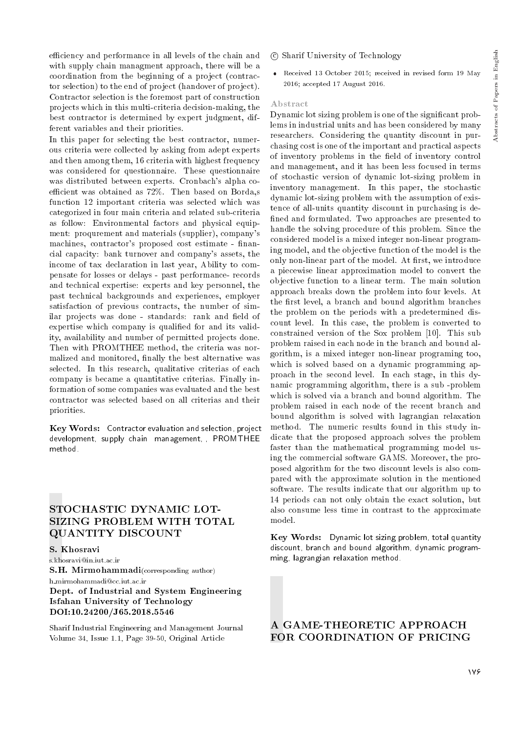efficiency and performance in all levels of the chain and with supply chain managment approach, there will be a coordination from the beginning of a project (contractor selection) to the end of project (handover of project). Contractor selection is the foremost part of construction projects which in this multi-criteria decision-making, the best contractor is determined by expert judgment, different variables and their priorities.

In this paper for selecting the best contractor, numerous criteria were collected by asking from adept experts and then among them, 16 criteria with highest frequency was considered for questionnaire. These questionnaire was distributed between experts. Cronbach's alpha coefficient was obtained as 72%. Then based on Borda,s function 12 important criteria was selected which was categorized in four main criteria and related sub-criteria as follow: Environmental factors and physical equipment: proqurement and materials (supplier), company's machines, contractor's proposed cost estimate - financial capacity: bank turnover and company's assets, the income of tax declaration in last year, Ability to compensate for losses or delays - past performance- records and technical expertise: experts and key personnel, the past technical backgrounds and experiences, employer satisfaction of previous contracts, the number of similar projects was done - standards: rank and field of expertise which company is qualied for and its validity, availability and number of permitted projects done. Then with PROMTHEE method, the criteria was normalized and monitored, finally the best alternative was selected. In this research, qualitative criterias of each company is became a quantitative criterias. Finally information of some companies was evaluated and the best contractor was selected based on all criterias and their priorities.

Key Words: Contractor evaluation and selection, project development, supply chain management, , PROMTHEE method.

# STOCHASTIC DYNAMIC LOT-SIZING PROBLEM WITH TOTAL QUANTITY DISCOUNT

S. Khosravi s.khosravi@in.iut.ac.ir S.H. Mirmohammadi(corresponding author) h mirmohammadi@cc.iut.ac.ir Dept. of Industrial and System Engineering Isfahan University of Technology DOI:10.24200/J65.2018.5546

Sharif Industrial Engineering and Management Journal Volume 34, Issue 1.1, Page 39-50, Original Article

## c Sharif University of Technology

 Received 13 October 2015; received in revised form 19 May 2016; accepted 17 August 2016.

#### Abstract

Dynamic lot sizing problem is one of the significant problems in industrial units and has been considered by many researchers. Considering the quantity discount in purchasing cost is one of the important and practical aspects of inventory problems in the field of inventory control and management, and it has been less focused in terms of stochastic version of dynamic lot-sizing problem in inventory management. In this paper, the stochastic dynamic lot-sizing problem with the assumption of existence of all-units quantity discount in purchasing is de fined and formulated. Two approaches are presented to handle the solving procedure of this problem. Since the considered model is a mixed integer non-linear programing model, and the objective function of the model is the only non-linear part of the model. At first, we introduce a piecewise linear approximation model to convert the objective function to a linear term. The main solution approach breaks down the problem into four levels. At the first level, a branch and bound algorithm branches the problem on the periods with a predetermined discount level. In this case, the problem is converted to constrained version of the Sox problem [10]. This sub problem raised in each node in the branch and bound algorithm, is a mixed integer non-linear programing too, which is solved based on a dynamic programming approach in the second level. In each stage, in this dynamic programming algorithm, there is a sub -problem which is solved via a branch and bound algorithm. The problem raised in each node of the recent branch and bound algorithm is solved with lagrangian relaxation method. The numeric results found in this study indicate that the proposed approach solves the problem faster than the mathematical programming model using the commercial software GAMS. Moreover, the proposed algorithm for the two discount levels is also compared with the approximate solution in the mentioned software. The results indicate that our algorithm up to 14 periods can not only obtain the exact solution, but also consume less time in contrast to the approximate model.

Key Words: Dynamic lot sizing problem, total quantity discount, branch and bound algorithm, dynamic programming, lagrangian relaxation method.

## A GAME-THEORETIC APPROACH FOR COORDINATION OF PRICING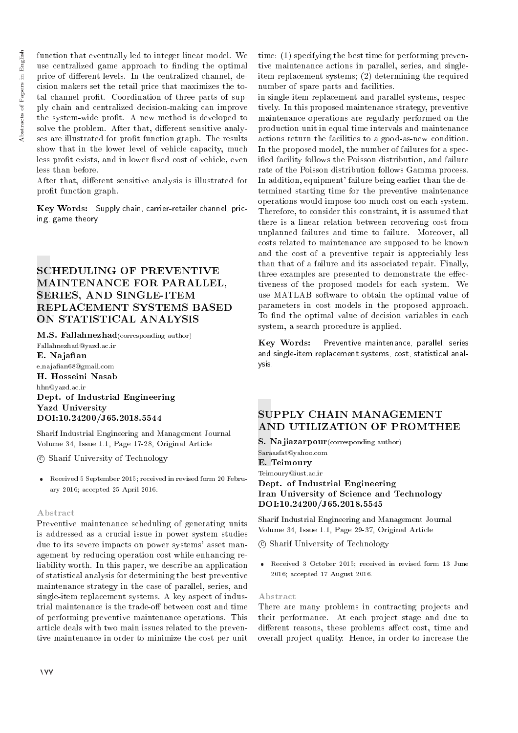function that eventually led to integer linear model. We use centralized game approach to finding the optimal price of different levels. In the centralized channel, decision makers set the retail price that maximizes the total channel profit. Coordination of three parts of supply chain and centralized decision-making can improve the system-wide profit. A new method is developed to solve the problem. After that, different sensitive analyses are illustrated for profit function graph. The results show that in the lower level of vehicle capacity, much less profit exists, and in lower fixed cost of vehicle, even less than before.

After that, different sensitive analysis is illustrated for profit function graph.

Key Words: Supply chain, carrier-retailer channel, pricing, game theory.

# SCHEDULING OF PREVENTIVE MAINTENANCE FOR PARALLEL, SERIES, AND SINGLE-ITEM REPLACEMENT SYSTEMS BASED ON STATISTICAL ANALYSIS

M.S. Fallahnezhad(corresponding author)

Fallahnezhad@yazd.ac.ir E. Najafian e.najaan68@gmail.com H. Hosseini Nasab hhn@yazd.ac.ir Dept. of Industrial Engineering Yazd University DOI:10.24200/J65.2018.5544

Sharif Industrial Engineering and Management Journal Volume 34, Issue 1.1, Page 17-28, Original Article

c Sharif University of Technology

 Received 5 September 2015; received in revised form 20 February 2016; accepted 25 April 2016.

#### Abstract

Preventive maintenance scheduling of generating units is addressed as a crucial issue in power system studies due to its severe impacts on power systems' asset management by reducing operation cost while enhancing reliability worth. In this paper, we describe an application of statistical analysis for determining the best preventive maintenance strategy in the case of parallel, series, and single-item replacement systems. A key aspect of industrial maintenance is the trade-off between cost and time of performing preventive maintenance operations. This article deals with two main issues related to the preventive maintenance in order to minimize the cost per unit

time: (1) specifying the best time for performing preventive maintenance actions in parallel, series, and singleitem replacement systems; (2) determining the required number of spare parts and facilities.

in single-item replacement and parallel systems, respectively. In this proposed maintenance strategy, preventive maintenance operations are regularly performed on the production unit in equal time intervals and maintenance actions return the facilities to a good-as-new condition. In the proposed model, the number of failures for a specied facility follows the Poisson distribution, and failure rate of the Poisson distribution follows Gamma process. In addition, equipment' failure being earlier than the determined starting time for the preventive maintenance operations would impose too much cost on each system. Therefore, to consider this constraint, it is assumed that there is a linear relation between recovering cost from unplanned failures and time to failure. Moreover, all costs related to maintenance are supposed to be known and the cost of a preventive repair is appreciably less than that of a failure and its associated repair. Finally, three examples are presented to demonstrate the effectiveness of the proposed models for each system. We use MATLAB software to obtain the optimal value of parameters in cost models in the proposed approach. To find the optimal value of decision variables in each system, a search procedure is applied.

Key Words: Preventive maintenance, parallel, series and single-item replacement systems, cost, statistical analysis.

# SUPPLY CHAIN MANAGEMENT AND UTILIZATION OF PROMTHEE

S. Najiazarpour(corresponding author) Saraasfat@yahoo.com E. Teimoury Teimoury@iust.ac.ir Dept. of Industrial Engineering Iran University of Science and Technology DOI:10.24200/J65.2018.5545

Sharif Industrial Engineering and Management Journal Volume 34, Issue 1.1, Page 29-37, Original Article

c Sharif University of Technology

 Received 3 October 2015; received in revised form 13 June 2016; accepted 17 August 2016.

#### Abstract

There are many problems in contracting projects and their performance. At each project stage and due to different reasons, these problems affect cost, time and overall project quality. Hence, in order to increase the